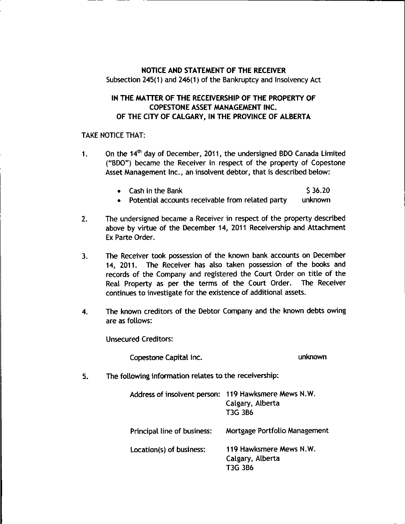## NOTICE AND STATEMENT OF THE RECEIVER Subsection 245(1) and 246(1) of the Bankruptcy and Insolvency Act

## IN THE MATTER OF THE RECEIVERSHIP OF THE PROPERTY OF COPESTONE ASSET MANAGEMENT INC. OF THE CITY OF CALGARY, IN THE PROVINCE OF ALBERTA

## TAKE NOTICE THAT:

- 1. On the  $14<sup>th</sup>$  day of December, 2011, the undersigned BDO Canada Limited ("BDO") became the Receiver in respect of the property of Copestone Asset Management Inc., an insolvent debtor, that is described below:
	- Cash in the Bank  $\overline{\phantom{3}}$   $\overline{\phantom{3}}$  536.20
	- Potential accounts receivable from related party unknown  $\bullet$
- 2. The undersigned became a Receiver in respect of the property described above by virtue of the December 14, 2011 Receivership and Attachment Ex Parte Order.
- 3. The Receiver took possession of the known bank accounts on December 14, 2011. The Receiver has also taken possession of the books and records of the Company and registered the Court Order on title of the Real Property as per the terms of the Court Order. The Receiver continues to investigate for the existence of additional assets.
- 4. The known creditors of the Debtor Company and the known debts owing are as follows:

Unsecured Creditors:

Copestone Capital Inc. unknown

5. The following information relates to the receivership:

| Address of insolvent person: | 119 Hawksmere Mews N.W.<br>Calgary, Alberta<br>T3G 3B6 |
|------------------------------|--------------------------------------------------------|
| Principal line of business:  | Mortgage Portfolio Management                          |
| Location(s) of business:     | 119 Hawksmere Mews N.W.<br>Calgary, Alberta<br>T3G 3B6 |